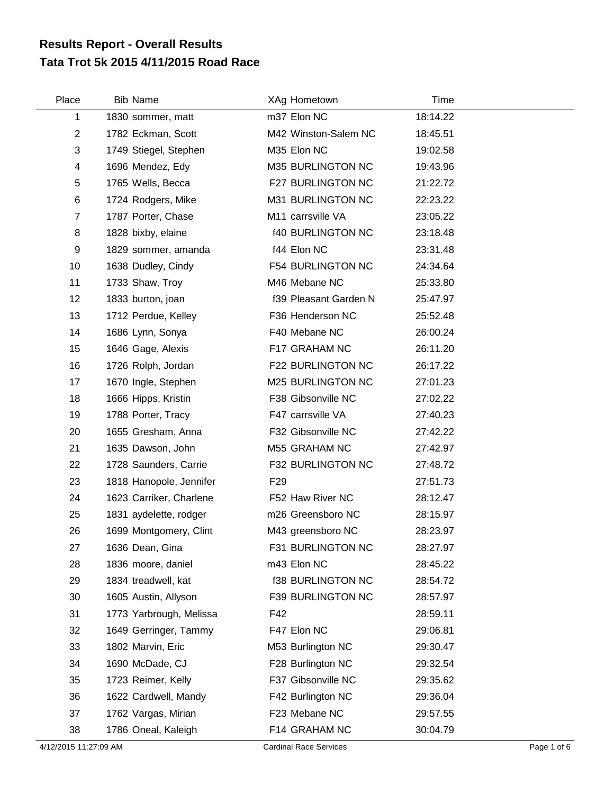## **Tata Trot 5k 2015 4/11/2015 Road Race Results Report - Overall Results**

| Place          | <b>Bib Name</b>         | XAg Hometown             | Time     |
|----------------|-------------------------|--------------------------|----------|
| 1              | 1830 sommer, matt       | m37 Elon NC              | 18:14.22 |
| $\overline{2}$ | 1782 Eckman, Scott      | M42 Winston-Salem NC     | 18:45.51 |
| 3              | 1749 Stiegel, Stephen   | M35 Elon NC              | 19:02.58 |
| 4              | 1696 Mendez, Edy        | M35 BURLINGTON NC        | 19:43.96 |
| 5              | 1765 Wells, Becca       | F27 BURLINGTON NC        | 21:22.72 |
| 6              | 1724 Rodgers, Mike      | M31 BURLINGTON NC        | 22:23.22 |
| $\overline{7}$ | 1787 Porter, Chase      | M11 carrsville VA        | 23:05.22 |
| 8              | 1828 bixby, elaine      | <b>f40 BURLINGTON NC</b> | 23:18.48 |
| 9              | 1829 sommer, amanda     | f44 Elon NC              | 23:31.48 |
| 10             | 1638 Dudley, Cindy      | <b>F54 BURLINGTON NC</b> | 24:34.64 |
| 11             | 1733 Shaw, Troy         | M46 Mebane NC            | 25:33.80 |
| 12             | 1833 burton, joan       | f39 Pleasant Garden N    | 25:47.97 |
| 13             | 1712 Perdue, Kelley     | F36 Henderson NC         | 25:52.48 |
| 14             | 1686 Lynn, Sonya        | F40 Mebane NC            | 26:00.24 |
| 15             | 1646 Gage, Alexis       | F17 GRAHAM NC            | 26:11.20 |
| 16             | 1726 Rolph, Jordan      | F22 BURLINGTON NC        | 26:17.22 |
| 17             | 1670 Ingle, Stephen     | M25 BURLINGTON NC        | 27:01.23 |
| 18             | 1666 Hipps, Kristin     | F38 Gibsonville NC       | 27:02.22 |
| 19             | 1788 Porter, Tracy      | F47 carrsville VA        | 27:40.23 |
| 20             | 1655 Gresham, Anna      | F32 Gibsonville NC       | 27:42.22 |
| 21             | 1635 Dawson, John       | M55 GRAHAM NC            | 27:42.97 |
| 22             | 1728 Saunders, Carrie   | F32 BURLINGTON NC        | 27:48.72 |
| 23             | 1818 Hanopole, Jennifer | F <sub>29</sub>          | 27:51.73 |
| 24             | 1623 Carriker, Charlene | F52 Haw River NC         | 28:12.47 |
| 25             | 1831 aydelette, rodger  | m26 Greensboro NC        | 28:15.97 |
| 26             | 1699 Montgomery, Clint  | M43 greensboro NC        | 28:23.97 |
| 27             | 1636 Dean, Gina         | F31 BURLINGTON NC        | 28:27.97 |
| 28             | 1836 moore, daniel      | m43 Elon NC              | 28:45.22 |
| 29             | 1834 treadwell, kat     | <b>f38 BURLINGTON NC</b> | 28:54.72 |
| 30             | 1605 Austin, Allyson    | F39 BURLINGTON NC        | 28:57.97 |
| 31             | 1773 Yarbrough, Melissa | F42                      | 28:59.11 |
| 32             | 1649 Gerringer, Tammy   | F47 Elon NC              | 29:06.81 |
| 33             | 1802 Marvin, Eric       | M53 Burlington NC        | 29:30.47 |
| 34             | 1690 McDade, CJ         | F28 Burlington NC        | 29:32.54 |
| 35             | 1723 Reimer, Kelly      | F37 Gibsonville NC       | 29:35.62 |
| 36             | 1622 Cardwell, Mandy    | F42 Burlington NC        | 29:36.04 |
| 37             | 1762 Vargas, Mirian     | F23 Mebane NC            | 29:57.55 |
| 38             | 1786 Oneal, Kaleigh     | F14 GRAHAM NC            | 30:04.79 |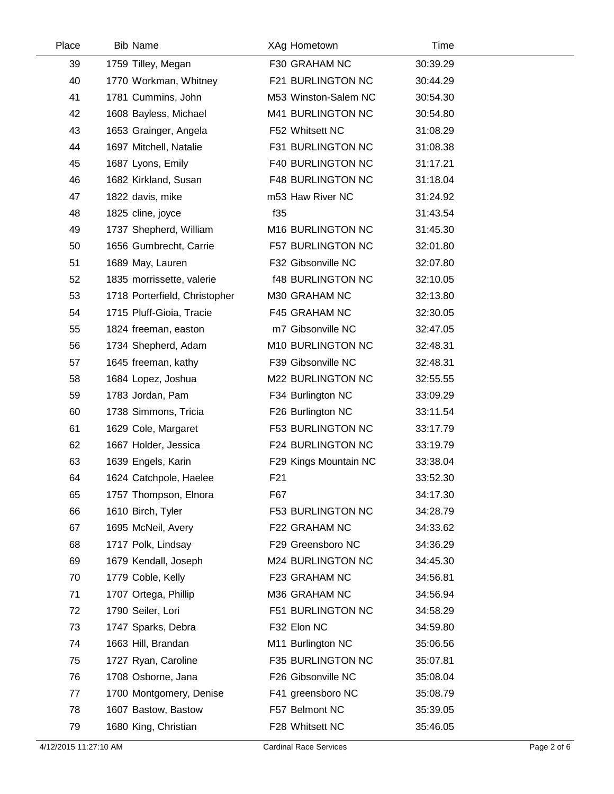| Place | <b>Bib Name</b>               | XAg Hometown             | Time     |  |
|-------|-------------------------------|--------------------------|----------|--|
| 39    | 1759 Tilley, Megan            | F30 GRAHAM NC            | 30:39.29 |  |
| 40    | 1770 Workman, Whitney         | F21 BURLINGTON NC        | 30:44.29 |  |
| 41    | 1781 Cummins, John            | M53 Winston-Salem NC     | 30:54.30 |  |
| 42    | 1608 Bayless, Michael         | M41 BURLINGTON NC        | 30:54.80 |  |
| 43    | 1653 Grainger, Angela         | F52 Whitsett NC          | 31:08.29 |  |
| 44    | 1697 Mitchell, Natalie        | F31 BURLINGTON NC        | 31:08.38 |  |
| 45    | 1687 Lyons, Emily             | F40 BURLINGTON NC        | 31:17.21 |  |
| 46    | 1682 Kirkland, Susan          | <b>F48 BURLINGTON NC</b> | 31:18.04 |  |
| 47    | 1822 davis, mike              | m53 Haw River NC         | 31:24.92 |  |
| 48    | 1825 cline, joyce             | f35                      | 31:43.54 |  |
| 49    | 1737 Shepherd, William        | M16 BURLINGTON NC        | 31:45.30 |  |
| 50    | 1656 Gumbrecht, Carrie        | F57 BURLINGTON NC        | 32:01.80 |  |
| 51    | 1689 May, Lauren              | F32 Gibsonville NC       | 32:07.80 |  |
| 52    | 1835 morrissette, valerie     | <b>f48 BURLINGTON NC</b> | 32:10.05 |  |
| 53    | 1718 Porterfield, Christopher | M30 GRAHAM NC            | 32:13.80 |  |
| 54    | 1715 Pluff-Gioia, Tracie      | F45 GRAHAM NC            | 32:30.05 |  |
| 55    | 1824 freeman, easton          | m7 Gibsonville NC        | 32:47.05 |  |
| 56    | 1734 Shepherd, Adam           | M10 BURLINGTON NC        | 32:48.31 |  |
| 57    | 1645 freeman, kathy           | F39 Gibsonville NC       | 32:48.31 |  |
| 58    | 1684 Lopez, Joshua            | M22 BURLINGTON NC        | 32:55.55 |  |
| 59    | 1783 Jordan, Pam              | F34 Burlington NC        | 33:09.29 |  |
| 60    | 1738 Simmons, Tricia          | F26 Burlington NC        | 33:11.54 |  |
| 61    | 1629 Cole, Margaret           | <b>F53 BURLINGTON NC</b> | 33:17.79 |  |
| 62    | 1667 Holder, Jessica          | F24 BURLINGTON NC        | 33:19.79 |  |
| 63    | 1639 Engels, Karin            | F29 Kings Mountain NC    | 33:38.04 |  |
| 64    | 1624 Catchpole, Haelee        | F21                      | 33:52.30 |  |
| 65    | 1757 Thompson, Elnora         | F67                      | 34:17.30 |  |
| 66    | 1610 Birch, Tyler             | <b>F53 BURLINGTON NC</b> | 34:28.79 |  |
| 67    | 1695 McNeil, Avery            | F22 GRAHAM NC            | 34:33.62 |  |
| 68    | 1717 Polk, Lindsay            | F29 Greensboro NC        | 34:36.29 |  |
| 69    | 1679 Kendall, Joseph          | M24 BURLINGTON NC        | 34:45.30 |  |
| 70    | 1779 Coble, Kelly             | F23 GRAHAM NC            | 34:56.81 |  |
| 71    | 1707 Ortega, Phillip          | M36 GRAHAM NC            | 34:56.94 |  |
| 72    | 1790 Seiler, Lori             | F51 BURLINGTON NC        | 34:58.29 |  |
| 73    | 1747 Sparks, Debra            | F32 Elon NC              | 34:59.80 |  |
| 74    | 1663 Hill, Brandan            | M11 Burlington NC        | 35:06.56 |  |
| 75    | 1727 Ryan, Caroline           | F35 BURLINGTON NC        | 35:07.81 |  |
| 76    | 1708 Osborne, Jana            | F26 Gibsonville NC       | 35:08.04 |  |
| 77    | 1700 Montgomery, Denise       | F41 greensboro NC        | 35:08.79 |  |
| 78    | 1607 Bastow, Bastow           | F57 Belmont NC           | 35:39.05 |  |
| 79    | 1680 King, Christian          | F28 Whitsett NC          | 35:46.05 |  |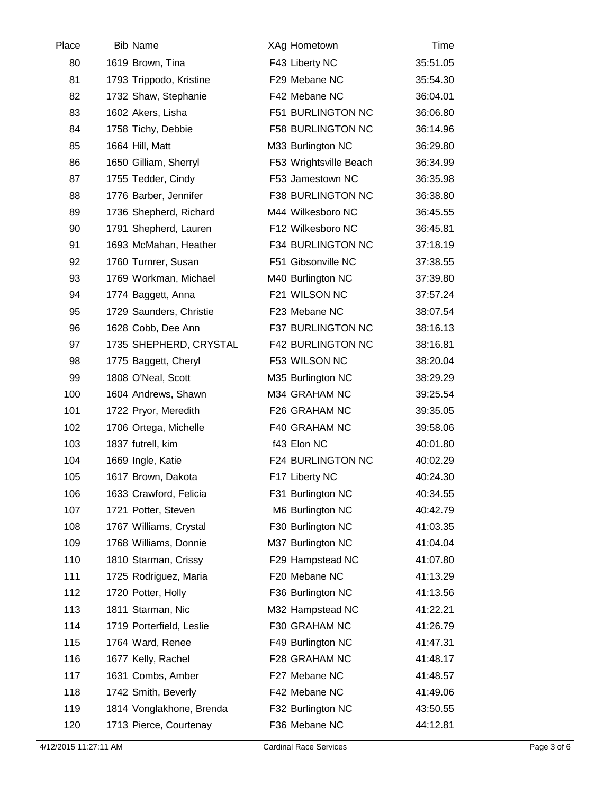| Place | <b>Bib Name</b>          | XAg Hometown           | Time     |  |
|-------|--------------------------|------------------------|----------|--|
| 80    | 1619 Brown, Tina         | F43 Liberty NC         | 35:51.05 |  |
| 81    | 1793 Trippodo, Kristine  | F29 Mebane NC          | 35:54.30 |  |
| 82    | 1732 Shaw, Stephanie     | F42 Mebane NC          | 36:04.01 |  |
| 83    | 1602 Akers, Lisha        | F51 BURLINGTON NC      | 36:06.80 |  |
| 84    | 1758 Tichy, Debbie       | F58 BURLINGTON NC      | 36:14.96 |  |
| 85    | 1664 Hill, Matt          | M33 Burlington NC      | 36:29.80 |  |
| 86    | 1650 Gilliam, Sherryl    | F53 Wrightsville Beach | 36:34.99 |  |
| 87    | 1755 Tedder, Cindy       | F53 Jamestown NC       | 36:35.98 |  |
| 88    | 1776 Barber, Jennifer    | F38 BURLINGTON NC      | 36:38.80 |  |
| 89    | 1736 Shepherd, Richard   | M44 Wilkesboro NC      | 36:45.55 |  |
| 90    | 1791 Shepherd, Lauren    | F12 Wilkesboro NC      | 36:45.81 |  |
| 91    | 1693 McMahan, Heather    | F34 BURLINGTON NC      | 37:18.19 |  |
| 92    | 1760 Turnrer, Susan      | F51 Gibsonville NC     | 37:38.55 |  |
| 93    | 1769 Workman, Michael    | M40 Burlington NC      | 37:39.80 |  |
| 94    | 1774 Baggett, Anna       | F21 WILSON NC          | 37:57.24 |  |
| 95    | 1729 Saunders, Christie  | F23 Mebane NC          | 38:07.54 |  |
| 96    | 1628 Cobb, Dee Ann       | F37 BURLINGTON NC      | 38:16.13 |  |
| 97    | 1735 SHEPHERD, CRYSTAL   | F42 BURLINGTON NC      | 38:16.81 |  |
| 98    | 1775 Baggett, Cheryl     | F53 WILSON NC          | 38:20.04 |  |
| 99    | 1808 O'Neal, Scott       | M35 Burlington NC      | 38:29.29 |  |
| 100   | 1604 Andrews, Shawn      | M34 GRAHAM NC          | 39:25.54 |  |
| 101   | 1722 Pryor, Meredith     | F26 GRAHAM NC          | 39:35.05 |  |
| 102   | 1706 Ortega, Michelle    | F40 GRAHAM NC          | 39:58.06 |  |
| 103   | 1837 futrell, kim        | f43 Elon NC            | 40:01.80 |  |
| 104   | 1669 Ingle, Katie        | F24 BURLINGTON NC      | 40:02.29 |  |
| 105   | 1617 Brown, Dakota       | F17 Liberty NC         | 40:24.30 |  |
| 106   | 1633 Crawford, Felicia   | F31 Burlington NC      | 40:34.55 |  |
| 107   | 1721 Potter, Steven      | M6 Burlington NC       | 40:42.79 |  |
| 108   | 1767 Williams, Crystal   | F30 Burlington NC      | 41:03.35 |  |
| 109   | 1768 Williams, Donnie    | M37 Burlington NC      | 41:04.04 |  |
| 110   | 1810 Starman, Crissy     | F29 Hampstead NC       | 41:07.80 |  |
| 111   | 1725 Rodriguez, Maria    | F20 Mebane NC          | 41:13.29 |  |
| 112   | 1720 Potter, Holly       | F36 Burlington NC      | 41:13.56 |  |
| 113   | 1811 Starman, Nic        | M32 Hampstead NC       | 41:22.21 |  |
| 114   | 1719 Porterfield, Leslie | F30 GRAHAM NC          | 41:26.79 |  |
| 115   | 1764 Ward, Renee         | F49 Burlington NC      | 41:47.31 |  |
| 116   | 1677 Kelly, Rachel       | F28 GRAHAM NC          | 41:48.17 |  |
| 117   | 1631 Combs, Amber        | F27 Mebane NC          | 41:48.57 |  |
| 118   | 1742 Smith, Beverly      | F42 Mebane NC          | 41:49.06 |  |
| 119   | 1814 Vonglakhone, Brenda | F32 Burlington NC      | 43:50.55 |  |
| 120   | 1713 Pierce, Courtenay   | F36 Mebane NC          | 44:12.81 |  |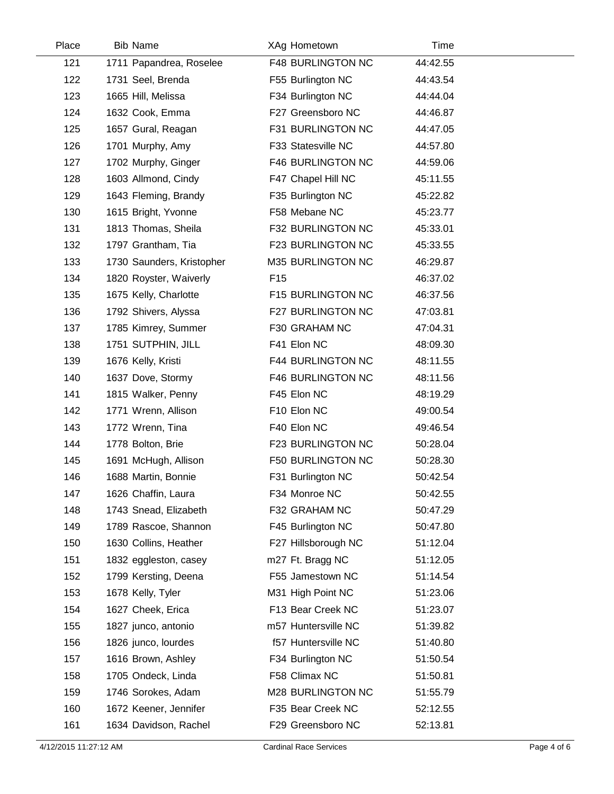| Place | <b>Bib Name</b>           | XAg Hometown             | Time     |  |
|-------|---------------------------|--------------------------|----------|--|
| 121   | 1711 Papandrea, Roselee   | <b>F48 BURLINGTON NC</b> | 44:42.55 |  |
| 122   | 1731 Seel, Brenda         | F55 Burlington NC        | 44:43.54 |  |
| 123   | 1665 Hill, Melissa        | F34 Burlington NC        | 44:44.04 |  |
| 124   | 1632 Cook, Emma           | F27 Greensboro NC        | 44:46.87 |  |
| 125   | 1657 Gural, Reagan        | F31 BURLINGTON NC        | 44:47.05 |  |
| 126   | 1701 Murphy, Amy          | F33 Statesville NC       | 44:57.80 |  |
| 127   | 1702 Murphy, Ginger       | F46 BURLINGTON NC        | 44:59.06 |  |
| 128   | 1603 Allmond, Cindy       | F47 Chapel Hill NC       | 45:11.55 |  |
| 129   | 1643 Fleming, Brandy      | F35 Burlington NC        | 45:22.82 |  |
| 130   | 1615 Bright, Yvonne       | F58 Mebane NC            | 45:23.77 |  |
| 131   | 1813 Thomas, Sheila       | F32 BURLINGTON NC        | 45:33.01 |  |
| 132   | 1797 Grantham, Tia        | F23 BURLINGTON NC        | 45:33.55 |  |
| 133   | 1730 Saunders, Kristopher | M35 BURLINGTON NC        | 46:29.87 |  |
| 134   | 1820 Royster, Waiverly    | F <sub>15</sub>          | 46:37.02 |  |
| 135   | 1675 Kelly, Charlotte     | F15 BURLINGTON NC        | 46:37.56 |  |
| 136   | 1792 Shivers, Alyssa      | F27 BURLINGTON NC        | 47:03.81 |  |
| 137   | 1785 Kimrey, Summer       | F30 GRAHAM NC            | 47:04.31 |  |
| 138   | 1751 SUTPHIN, JILL        | F41 Elon NC              | 48:09.30 |  |
| 139   | 1676 Kelly, Kristi        | <b>F44 BURLINGTON NC</b> | 48:11.55 |  |
| 140   | 1637 Dove, Stormy         | F46 BURLINGTON NC        | 48:11.56 |  |
| 141   | 1815 Walker, Penny        | F45 Elon NC              | 48:19.29 |  |
| 142   | 1771 Wrenn, Allison       | F10 Elon NC              | 49:00.54 |  |
| 143   | 1772 Wrenn, Tina          | F40 Elon NC              | 49:46.54 |  |
| 144   | 1778 Bolton, Brie         | F23 BURLINGTON NC        | 50:28.04 |  |
| 145   | 1691 McHugh, Allison      | F50 BURLINGTON NC        | 50:28.30 |  |
| 146   | 1688 Martin, Bonnie       | F31 Burlington NC        | 50:42.54 |  |
| 147   | 1626 Chaffin, Laura       | F34 Monroe NC            | 50:42.55 |  |
| 148   | 1743 Snead, Elizabeth     | F32 GRAHAM NC            | 50:47.29 |  |
| 149   | 1789 Rascoe, Shannon      | F45 Burlington NC        | 50:47.80 |  |
| 150   | 1630 Collins, Heather     | F27 Hillsborough NC      | 51:12.04 |  |
| 151   | 1832 eggleston, casey     | m27 Ft. Bragg NC         | 51:12.05 |  |
| 152   | 1799 Kersting, Deena      | F55 Jamestown NC         | 51:14.54 |  |
| 153   | 1678 Kelly, Tyler         | M31 High Point NC        | 51:23.06 |  |
| 154   | 1627 Cheek, Erica         | F13 Bear Creek NC        | 51:23.07 |  |
| 155   | 1827 junco, antonio       | m57 Huntersville NC      | 51:39.82 |  |
| 156   | 1826 junco, lourdes       | f57 Huntersville NC      | 51:40.80 |  |
| 157   | 1616 Brown, Ashley        | F34 Burlington NC        | 51:50.54 |  |
| 158   | 1705 Ondeck, Linda        | F58 Climax NC            | 51:50.81 |  |
| 159   | 1746 Sorokes, Adam        | M28 BURLINGTON NC        | 51:55.79 |  |
| 160   | 1672 Keener, Jennifer     | F35 Bear Creek NC        | 52:12.55 |  |
| 161   | 1634 Davidson, Rachel     | F29 Greensboro NC        | 52:13.81 |  |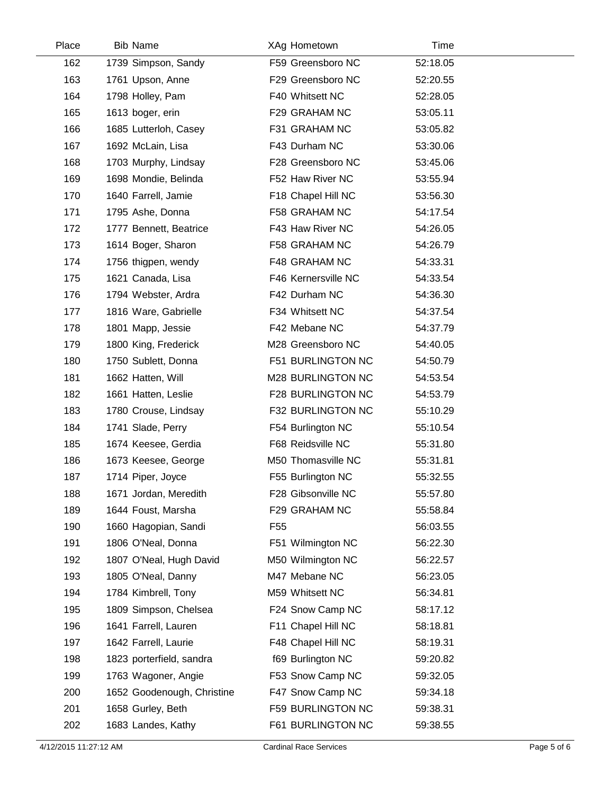| Place | <b>Bib Name</b>            | XAg Hometown             | Time     |  |
|-------|----------------------------|--------------------------|----------|--|
| 162   | 1739 Simpson, Sandy        | F59 Greensboro NC        | 52:18.05 |  |
| 163   | 1761 Upson, Anne           | F29 Greensboro NC        | 52:20.55 |  |
| 164   | 1798 Holley, Pam           | F40 Whitsett NC          | 52:28.05 |  |
| 165   | 1613 boger, erin           | F29 GRAHAM NC            | 53:05.11 |  |
| 166   | 1685 Lutterloh, Casey      | F31 GRAHAM NC            | 53:05.82 |  |
| 167   | 1692 McLain, Lisa          | F43 Durham NC            | 53:30.06 |  |
| 168   | 1703 Murphy, Lindsay       | F28 Greensboro NC        | 53:45.06 |  |
| 169   | 1698 Mondie, Belinda       | F52 Haw River NC         | 53:55.94 |  |
| 170   | 1640 Farrell, Jamie        | F18 Chapel Hill NC       | 53:56.30 |  |
| 171   | 1795 Ashe, Donna           | F58 GRAHAM NC            | 54:17.54 |  |
| 172   | 1777 Bennett, Beatrice     | F43 Haw River NC         | 54:26.05 |  |
| 173   | 1614 Boger, Sharon         | F58 GRAHAM NC            | 54:26.79 |  |
| 174   | 1756 thigpen, wendy        | F48 GRAHAM NC            | 54:33.31 |  |
| 175   | 1621 Canada, Lisa          | F46 Kernersville NC      | 54:33.54 |  |
| 176   | 1794 Webster, Ardra        | F42 Durham NC            | 54:36.30 |  |
| 177   | 1816 Ware, Gabrielle       | F34 Whitsett NC          | 54:37.54 |  |
| 178   | 1801 Mapp, Jessie          | F42 Mebane NC            | 54:37.79 |  |
| 179   | 1800 King, Frederick       | M28 Greensboro NC        | 54:40.05 |  |
| 180   | 1750 Sublett, Donna        | F51 BURLINGTON NC        | 54:50.79 |  |
| 181   | 1662 Hatten, Will          | M28 BURLINGTON NC        | 54:53.54 |  |
| 182   | 1661 Hatten, Leslie        | F28 BURLINGTON NC        | 54:53.79 |  |
| 183   | 1780 Crouse, Lindsay       | F32 BURLINGTON NC        | 55:10.29 |  |
| 184   | 1741 Slade, Perry          | F54 Burlington NC        | 55:10.54 |  |
| 185   | 1674 Keesee, Gerdia        | F68 Reidsville NC        | 55:31.80 |  |
| 186   | 1673 Keesee, George        | M50 Thomasville NC       | 55:31.81 |  |
| 187   | 1714 Piper, Joyce          | F55 Burlington NC        | 55:32.55 |  |
| 188   | 1671 Jordan, Meredith      | F28 Gibsonville NC       | 55:57.80 |  |
| 189   | 1644 Foust, Marsha         | F29 GRAHAM NC            | 55:58.84 |  |
| 190   | 1660 Hagopian, Sandi       | F <sub>55</sub>          | 56:03.55 |  |
| 191   | 1806 O'Neal, Donna         | F51 Wilmington NC        | 56:22.30 |  |
| 192   | 1807 O'Neal, Hugh David    | M50 Wilmington NC        | 56:22.57 |  |
| 193   | 1805 O'Neal, Danny         | M47 Mebane NC            | 56:23.05 |  |
| 194   | 1784 Kimbrell, Tony        | M59 Whitsett NC          | 56:34.81 |  |
| 195   | 1809 Simpson, Chelsea      | F24 Snow Camp NC         | 58:17.12 |  |
| 196   | 1641 Farrell, Lauren       | F11 Chapel Hill NC       | 58:18.81 |  |
| 197   | 1642 Farrell, Laurie       | F48 Chapel Hill NC       | 58:19.31 |  |
| 198   | 1823 porterfield, sandra   | f69 Burlington NC        | 59:20.82 |  |
| 199   | 1763 Wagoner, Angie        | F53 Snow Camp NC         | 59:32.05 |  |
| 200   | 1652 Goodenough, Christine | F47 Snow Camp NC         | 59:34.18 |  |
| 201   | 1658 Gurley, Beth          | <b>F59 BURLINGTON NC</b> | 59:38.31 |  |
| 202   | 1683 Landes, Kathy         | F61 BURLINGTON NC        | 59:38.55 |  |